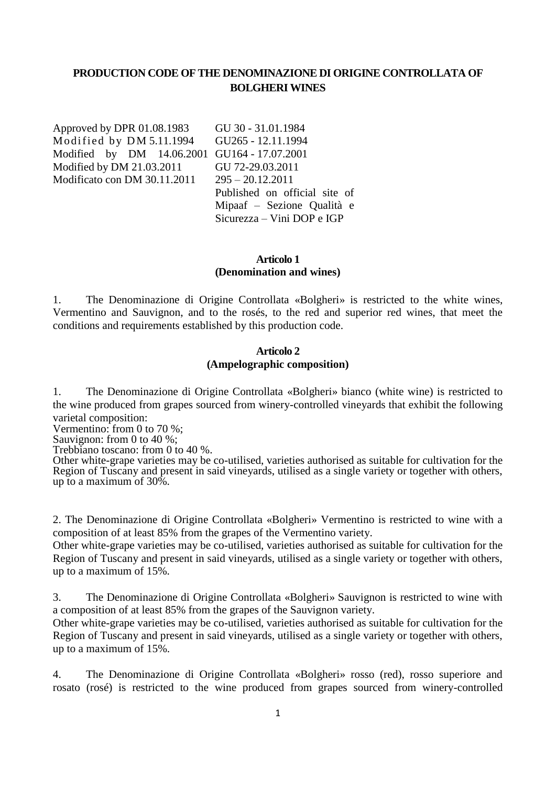# **PRODUCTION CODE OF THE DENOMINAZIONE DI ORIGINE CONTROLLATA OF BOLGHERI WINES**

Approved by DPR 01.08.1983 Modified by DM 5.11.1994 Modified by DM 14.06.2001 GU164 - 17.07.2001 Modified by DM 21.03.2011 Modificato con DM 30.11.2011

GU 30 - 31.01.1984 GU265 - 12.11.1994 GU 72-29.03.2011 295 – 20.12.2011 Published on official site of Mipaaf – Sezione Qualità e Sicurezza – Vini DOP e IGP

### **Articolo 1 (Denomination and wines)**

1. The Denominazione di Origine Controllata «Bolgheri» is restricted to the white wines, Vermentino and Sauvignon, and to the rosés, to the red and superior red wines, that meet the conditions and requirements established by this production code.

#### **Articolo 2 (Ampelographic composition)**

1. The Denominazione di Origine Controllata «Bolgheri» bianco (white wine) is restricted to the wine produced from grapes sourced from winery-controlled vineyards that exhibit the following varietal composition:

Vermentino: from 0 to 70 %;

Sauvignon: from 0 to 40 %;

Trebbiano toscano: from 0 to 40 %.

Other white-grape varieties may be co-utilised, varieties authorised as suitable for cultivation for the Region of Tuscany and present in said vineyards, utilised as a single variety or together with others, up to a maximum of 30%.

2. The Denominazione di Origine Controllata «Bolgheri» Vermentino is restricted to wine with a composition of at least 85% from the grapes of the Vermentino variety.

Other white-grape varieties may be co-utilised, varieties authorised as suitable for cultivation for the Region of Tuscany and present in said vineyards, utilised as a single variety or together with others, up to a maximum of 15%.

3. The Denominazione di Origine Controllata «Bolgheri» Sauvignon is restricted to wine with a composition of at least 85% from the grapes of the Sauvignon variety.

Other white-grape varieties may be co-utilised, varieties authorised as suitable for cultivation for the Region of Tuscany and present in said vineyards, utilised as a single variety or together with others, up to a maximum of 15%.

4. The Denominazione di Origine Controllata «Bolgheri» rosso (red), rosso superiore and rosato (rosé) is restricted to the wine produced from grapes sourced from winery-controlled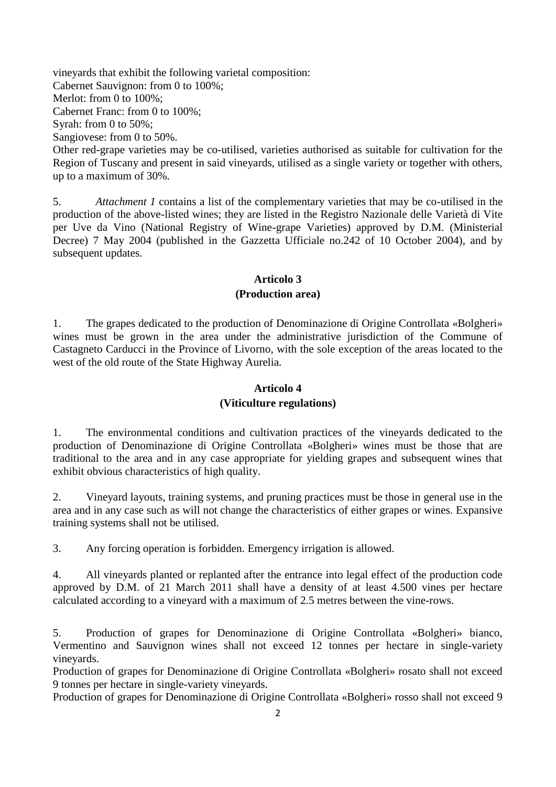vineyards that exhibit the following varietal composition: Cabernet Sauvignon: from 0 to 100%; Merlot: from 0 to  $100\%$ : Cabernet Franc: from 0 to 100%; Syrah: from 0 to 50%; Sangiovese: from 0 to 50%. Other red-grape varieties may be co-utilised, varieties authorised as suitable for cultivation for the Region of Tuscany and present in said vineyards, utilised as a single variety or together with others, up to a maximum of 30%.

5. *Attachment 1* contains a list of the complementary varieties that may be co-utilised in the production of the above-listed wines; they are listed in the Registro Nazionale delle Varietà di Vite per Uve da Vino (National Registry of Wine-grape Varieties) approved by D.M. (Ministerial Decree) 7 May 2004 (published in the Gazzetta Ufficiale no.242 of 10 October 2004), and by subsequent updates.

### **Articolo 3 (Production area)**

1. The grapes dedicated to the production of Denominazione di Origine Controllata «Bolgheri» wines must be grown in the area under the administrative jurisdiction of the Commune of Castagneto Carducci in the Province of Livorno, with the sole exception of the areas located to the west of the old route of the State Highway Aurelia.

#### **Articolo 4**

### **(Viticulture regulations)**

1. The environmental conditions and cultivation practices of the vineyards dedicated to the production of Denominazione di Origine Controllata «Bolgheri» wines must be those that are traditional to the area and in any case appropriate for yielding grapes and subsequent wines that exhibit obvious characteristics of high quality.

2. Vineyard layouts, training systems, and pruning practices must be those in general use in the area and in any case such as will not change the characteristics of either grapes or wines. Expansive training systems shall not be utilised.

3. Any forcing operation is forbidden. Emergency irrigation is allowed.

4. All vineyards planted or replanted after the entrance into legal effect of the production code approved by D.M. of 21 March 2011 shall have a density of at least 4.500 vines per hectare calculated according to a vineyard with a maximum of 2.5 metres between the vine-rows.

5. Production of grapes for Denominazione di Origine Controllata «Bolgheri» bianco, Vermentino and Sauvignon wines shall not exceed 12 tonnes per hectare in single-variety vineyards.

Production of grapes for Denominazione di Origine Controllata «Bolgheri» rosato shall not exceed 9 tonnes per hectare in single-variety vineyards.

Production of grapes for Denominazione di Origine Controllata «Bolgheri» rosso shall not exceed 9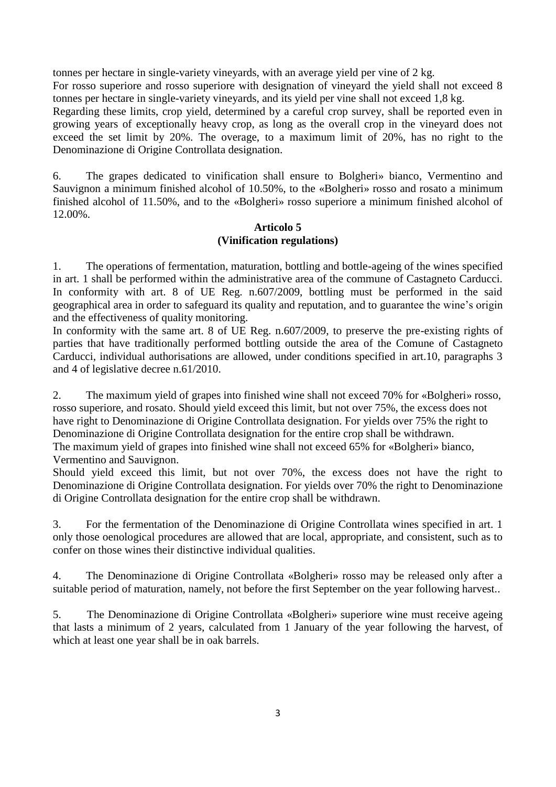tonnes per hectare in single-variety vineyards, with an average yield per vine of 2 kg.

For rosso superiore and rosso superiore with designation of vineyard the yield shall not exceed 8 tonnes per hectare in single-variety vineyards, and its yield per vine shall not exceed 1,8 kg.

Regarding these limits, crop yield, determined by a careful crop survey, shall be reported even in growing years of exceptionally heavy crop, as long as the overall crop in the vineyard does not exceed the set limit by 20%. The overage, to a maximum limit of 20%, has no right to the Denominazione di Origine Controllata designation.

6. The grapes dedicated to vinification shall ensure to Bolgheri» bianco, Vermentino and Sauvignon a minimum finished alcohol of 10.50%, to the «Bolgheri» rosso and rosato a minimum finished alcohol of 11.50%, and to the «Bolgheri» rosso superiore a minimum finished alcohol of 12.00%.

### **Articolo 5 (Vinification regulations)**

1. The operations of fermentation, maturation, bottling and bottle-ageing of the wines specified in art. 1 shall be performed within the administrative area of the commune of Castagneto Carducci. In conformity with art. 8 of UE Reg. n.607/2009, bottling must be performed in the said geographical area in order to safeguard its quality and reputation, and to guarantee the wine's origin and the effectiveness of quality monitoring.

In conformity with the same art. 8 of UE Reg. n.607/2009, to preserve the pre-existing rights of parties that have traditionally performed bottling outside the area of the Comune of Castagneto Carducci, individual authorisations are allowed, under conditions specified in art.10, paragraphs 3 and 4 of legislative decree n.61/2010.

2. The maximum yield of grapes into finished wine shall not exceed 70% for «Bolgheri» rosso, rosso superiore, and rosato. Should yield exceed this limit, but not over 75%, the excess does not have right to Denominazione di Origine Controllata designation. For yields over 75% the right to Denominazione di Origine Controllata designation for the entire crop shall be withdrawn. The maximum yield of grapes into finished wine shall not exceed 65% for «Bolgheri» bianco,

Vermentino and Sauvignon.

Should yield exceed this limit, but not over 70%, the excess does not have the right to Denominazione di Origine Controllata designation. For yields over 70% the right to Denominazione di Origine Controllata designation for the entire crop shall be withdrawn.

3. For the fermentation of the Denominazione di Origine Controllata wines specified in art. 1 only those oenological procedures are allowed that are local, appropriate, and consistent, such as to confer on those wines their distinctive individual qualities.

4. The Denominazione di Origine Controllata «Bolgheri» rosso may be released only after a suitable period of maturation, namely, not before the first September on the year following harvest..

5. The Denominazione di Origine Controllata «Bolgheri» superiore wine must receive ageing that lasts a minimum of 2 years, calculated from 1 January of the year following the harvest, of which at least one year shall be in oak barrels.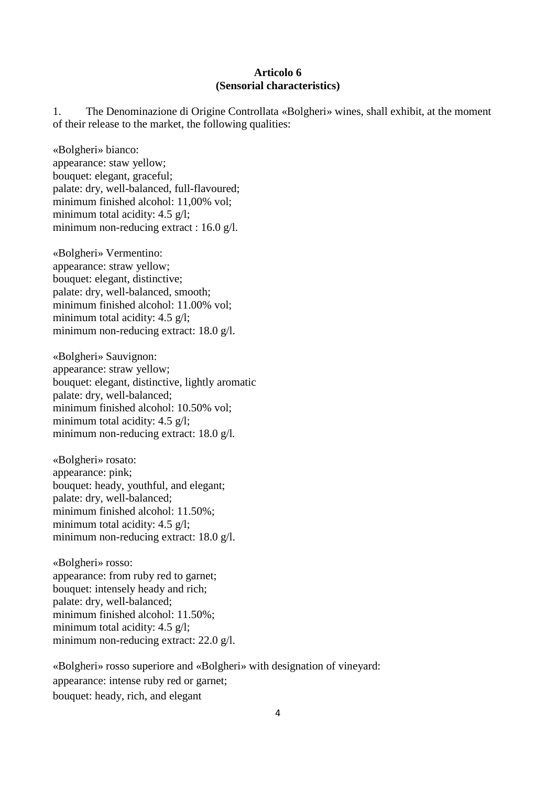#### **Articolo 6 (Sensorial characteristics)**

1. The Denominazione di Origine Controllata «Bolgheri» wines, shall exhibit, at the moment of their release to the market, the following qualities:

«Bolgheri» bianco: appearance: staw yellow; bouquet: elegant, graceful; palate: dry, well-balanced, full-flavoured; minimum finished alcohol: 11,00% vol; minimum total acidity: 4.5 g/l; minimum non-reducing extract : 16.0 g/l.

«Bolgheri» Vermentino: appearance: straw yellow; bouquet: elegant, distinctive; palate: dry, well-balanced, smooth; minimum finished alcohol: 11.00% vol; minimum total acidity: 4.5 g/l; minimum non-reducing extract: 18.0 g/l.

«Bolgheri» Sauvignon: appearance: straw yellow; bouquet: elegant, distinctive, lightly aromatic palate: dry, well-balanced; minimum finished alcohol: 10.50% vol; minimum total acidity: 4.5 g/l; minimum non-reducing extract: 18.0 g/l*.*

«Bolgheri» rosato: appearance: pink; bouquet: heady, youthful, and elegant; palate: dry, well-balanced; minimum finished alcohol: 11.50%; minimum total acidity: 4.5 g/l; minimum non-reducing extract: 18.0 g/l.

«Bolgheri» rosso: appearance: from ruby red to garnet; bouquet: intensely heady and rich; palate: dry, well-balanced; minimum finished alcohol: 11.50%; minimum total acidity: 4.5 g/l; minimum non-reducing extract: 22.0 g/l.

«Bolgheri» rosso superiore and «Bolgheri» with designation of vineyard: appearance: intense ruby red or garnet; bouquet: heady, rich, and elegant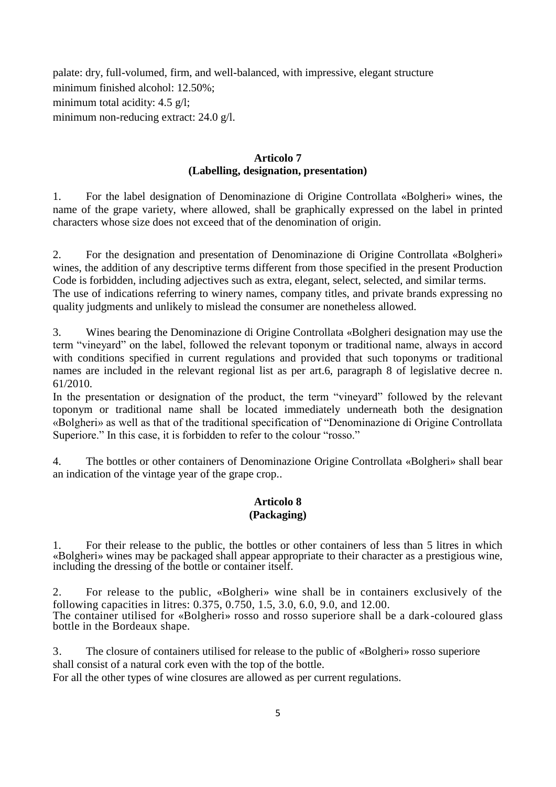palate: dry, full-volumed, firm, and well-balanced, with impressive, elegant structure minimum finished alcohol: 12.50%; minimum total acidity: 4.5 g/l: minimum non-reducing extract: 24.0 g/l.

## **Articolo 7 (Labelling, designation, presentation)**

1. For the label designation of Denominazione di Origine Controllata «Bolgheri» wines, the name of the grape variety, where allowed, shall be graphically expressed on the label in printed characters whose size does not exceed that of the denomination of origin.

2. For the designation and presentation of Denominazione di Origine Controllata «Bolgheri» wines, the addition of any descriptive terms different from those specified in the present Production Code is forbidden, including adjectives such as extra, elegant, select, selected, and similar terms. The use of indications referring to winery names, company titles, and private brands expressing no quality judgments and unlikely to mislead the consumer are nonetheless allowed.

3. Wines bearing the Denominazione di Origine Controllata «Bolgheri designation may use the term "vineyard" on the label, followed the relevant toponym or traditional name, always in accord with conditions specified in current regulations and provided that such toponyms or traditional names are included in the relevant regional list as per art.6, paragraph 8 of legislative decree n. 61/2010.

In the presentation or designation of the product, the term "vineyard" followed by the relevant toponym or traditional name shall be located immediately underneath both the designation «Bolgheri» as well as that of the traditional specification of "Denominazione di Origine Controllata Superiore." In this case, it is forbidden to refer to the colour "rosso."

4. The bottles or other containers of Denominazione Origine Controllata «Bolgheri» shall bear an indication of the vintage year of the grape crop..

## **Articolo 8 (Packaging)**

1. For their release to the public, the bottles or other containers of less than 5 litres in which «Bolgheri» wines may be packaged shall appear appropriate to their character as a prestigious wine, including the dressing of the bottle or container itself.

2. For release to the public, «Bolgheri» wine shall be in containers exclusively of the following capacities in litres: 0.375, 0.750, 1.5, 3.0, 6.0, 9.0, and 12.00. The container utilised for «Bolgheri» rosso and rosso superiore shall be a dark-coloured glass bottle in the Bordeaux shape.

3. The closure of containers utilised for release to the public of «Bolgheri» rosso superiore shall consist of a natural cork even with the top of the bottle.

For all the other types of wine closures are allowed as per current regulations.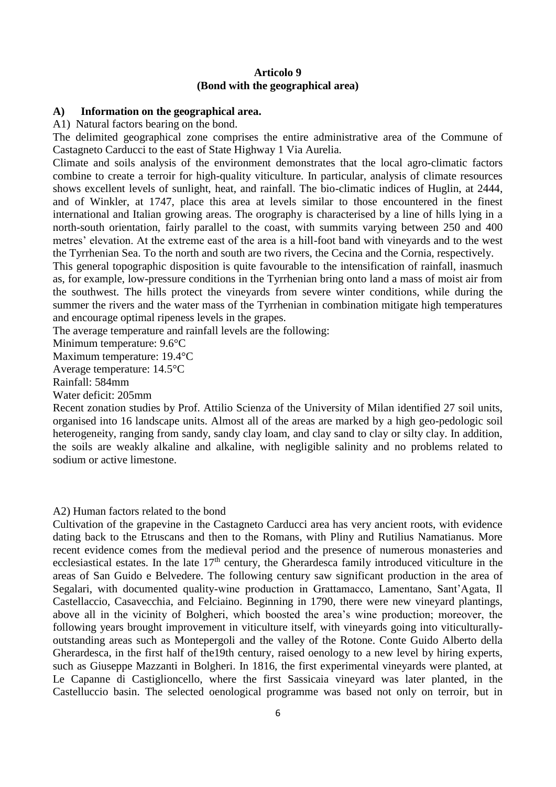### **Articolo 9 (Bond with the geographical area)**

#### **A) Information on the geographical area.**

A1) Natural factors bearing on the bond.

The delimited geographical zone comprises the entire administrative area of the Commune of Castagneto Carducci to the east of State Highway 1 Via Aurelia.

Climate and soils analysis of the environment demonstrates that the local agro-climatic factors combine to create a terroir for high-quality viticulture. In particular, analysis of climate resources shows excellent levels of sunlight, heat, and rainfall. The bio-climatic indices of Huglin, at 2444, and of Winkler, at 1747, place this area at levels similar to those encountered in the finest international and Italian growing areas. The orography is characterised by a line of hills lying in a north-south orientation, fairly parallel to the coast, with summits varying between 250 and 400 metres' elevation. At the extreme east of the area is a hill-foot band with vineyards and to the west the Tyrrhenian Sea. To the north and south are two rivers, the Cecina and the Cornia, respectively.

This general topographic disposition is quite favourable to the intensification of rainfall, inasmuch as, for example, low-pressure conditions in the Tyrrhenian bring onto land a mass of moist air from the southwest. The hills protect the vineyards from severe winter conditions, while during the summer the rivers and the water mass of the Tyrrhenian in combination mitigate high temperatures and encourage optimal ripeness levels in the grapes.

The average temperature and rainfall levels are the following:

Minimum temperature: 9.6°C

Maximum temperature: 19.4°C

Average temperature: 14.5°C

Rainfall: 584mm

Water deficit: 205mm

Recent zonation studies by Prof. Attilio Scienza of the University of Milan identified 27 soil units, organised into 16 landscape units. Almost all of the areas are marked by a high geo-pedologic soil heterogeneity, ranging from sandy, sandy clay loam, and clay sand to clay or silty clay. In addition, the soils are weakly alkaline and alkaline, with negligible salinity and no problems related to sodium or active limestone.

A2) Human factors related to the bond

Cultivation of the grapevine in the Castagneto Carducci area has very ancient roots, with evidence dating back to the Etruscans and then to the Romans, with Pliny and Rutilius Namatianus. More recent evidence comes from the medieval period and the presence of numerous monasteries and ecclesiastical estates. In the late 17<sup>th</sup> century, the Gherardesca family introduced viticulture in the areas of San Guido e Belvedere. The following century saw significant production in the area of Segalari, with documented quality-wine production in Grattamacco, Lamentano, Sant'Agata, Il Castellaccio, Casavecchia, and Felciaino. Beginning in 1790, there were new vineyard plantings, above all in the vicinity of Bolgheri, which boosted the area's wine production; moreover, the following years brought improvement in viticulture itself, with vineyards going into viticulturallyoutstanding areas such as Montepergoli and the valley of the Rotone. Conte Guido Alberto della Gherardesca, in the first half of the19th century, raised oenology to a new level by hiring experts, such as Giuseppe Mazzanti in Bolgheri. In 1816, the first experimental vineyards were planted, at Le Capanne di Castiglioncello, where the first Sassicaia vineyard was later planted, in the Castelluccio basin. The selected oenological programme was based not only on terroir, but in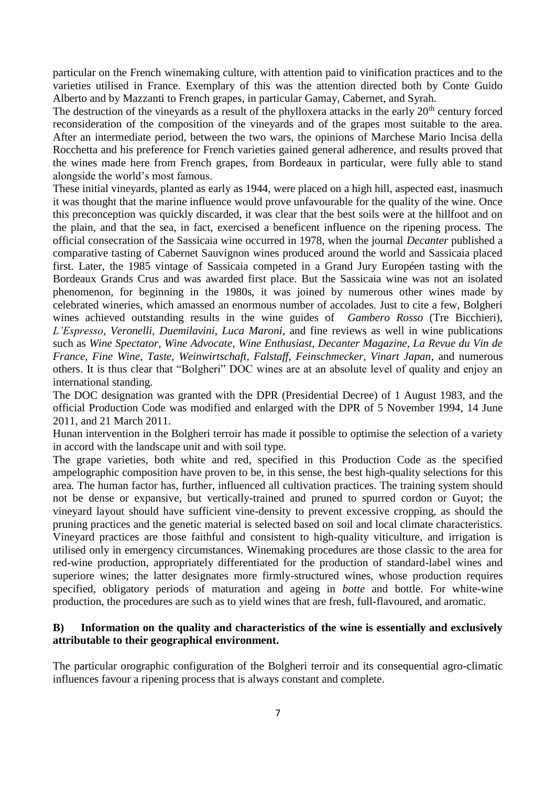particular on the French winemaking culture, with attention paid to vinification practices and to the varieties utilised in France. Exemplary of this was the attention directed both by Conte Guido Alberto and by Mazzanti to French grapes, in particular Gamay, Cabernet, and Syrah.

The destruction of the vineyards as a result of the phylloxera attacks in the early  $20<sup>th</sup>$  century forced reconsideration of the composition of the vineyards and of the grapes most suitable to the area. After an intermediate period, between the two wars, the opinions of Marchese Mario Incisa della Rocchetta and his preference for French varieties gained general adherence, and results proved that the wines made here from French grapes, from Bordeaux in particular, were fully able to stand alongside the world's most famous.

These initial vineyards, planted as early as 1944, were placed on a high hill, aspected east, inasmuch it was thought that the marine influence would prove unfavourable for the quality of the wine. Once this preconception was quickly discarded, it was clear that the best soils were at the hillfoot and on the plain, and that the sea, in fact, exercised a beneficent influence on the ripening process. The official consecration of the Sassicaia wine occurred in 1978, when the journal *Decanter* published a comparative tasting of Cabernet Sauvignon wines produced around the world and Sassicaia placed first. Later, the 1985 vintage of Sassicaia competed in a Grand Jury Européen tasting with the Bordeaux Grands Crus and was awarded first place. But the Sassicaia wine was not an isolated phenomenon, for beginning in the 1980s, it was joined by numerous other wines made by celebrated wineries, which amassed an enormous number of accolades. Just to cite a few, Bolgheri wines achieved outstanding results in the wine guides of *Gambero Rosso* (Tre Bicchieri), *L'Espresso*, *Veronelli*, *Duemilavini, Luca Maroni*, and fine reviews as well in wine publications such as *Wine Spectator, Wine Advocate, Wine Enthusiast, Decanter Magazine, La Revue du Vin de France, Fine Wine, Taste, Weinwirtschaft, Falstaff, Feinschmecker, Vinart Japan*, and numerous others. It is thus clear that "Bolgheri" DOC wines are at an absolute level of quality and enjoy an international standing.

The DOC designation was granted with the DPR (Presidential Decree) of 1 August 1983, and the official Production Code was modified and enlarged with the DPR of 5 November 1994, 14 June 2011, and 21 March 2011.

Hunan intervention in the Bolgheri terroir has made it possible to optimise the selection of a variety in accord with the landscape unit and with soil type.

The grape varieties, both white and red, specified in this Production Code as the specified ampelographic composition have proven to be, in this sense, the best high-quality selections for this area. The human factor has, further, influenced all cultivation practices. The training system should not be dense or expansive, but vertically-trained and pruned to spurred cordon or Guyot; the vineyard layout should have sufficient vine-density to prevent excessive cropping, as should the pruning practices and the genetic material is selected based on soil and local climate characteristics. Vineyard practices are those faithful and consistent to high-quality viticulture, and irrigation is utilised only in emergency circumstances. Winemaking procedures are those classic to the area for red-wine production, appropriately differentiated for the production of standard-label wines and superiore wines; the latter designates more firmly-structured wines, whose production requires specified, obligatory periods of maturation and ageing in *botte* and bottle. For white-wine production, the procedures are such as to yield wines that are fresh, full-flavoured, and aromatic.

### **B) Information on the quality and characteristics of the wine is essentially and exclusively attributable to their geographical environment.**

The particular orographic configuration of the Bolgheri terroir and its consequential agro-climatic influences favour a ripening process that is always constant and complete.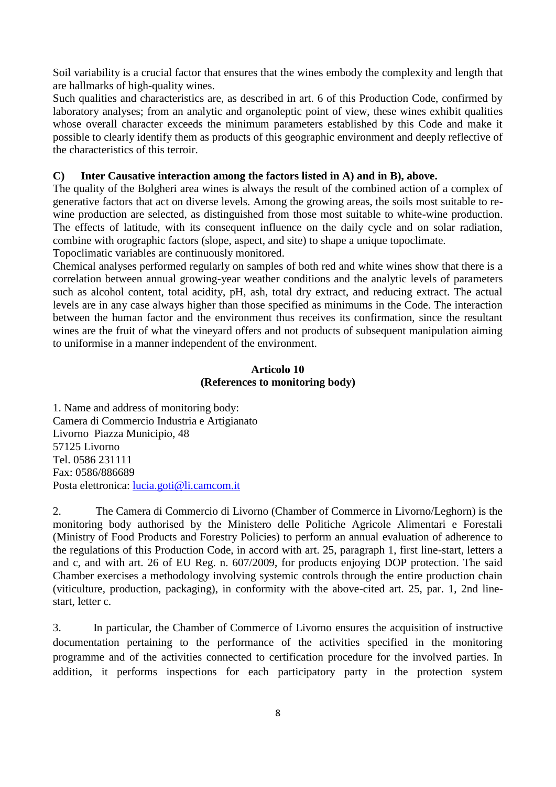Soil variability is a crucial factor that ensures that the wines embody the complexity and length that are hallmarks of high-quality wines.

Such qualities and characteristics are, as described in art. 6 of this Production Code, confirmed by laboratory analyses; from an analytic and organoleptic point of view, these wines exhibit qualities whose overall character exceeds the minimum parameters established by this Code and make it possible to clearly identify them as products of this geographic environment and deeply reflective of the characteristics of this terroir.

## **C) Inter Causative interaction among the factors listed in A) and in B), above.**

The quality of the Bolgheri area wines is always the result of the combined action of a complex of generative factors that act on diverse levels. Among the growing areas, the soils most suitable to rewine production are selected, as distinguished from those most suitable to white-wine production. The effects of latitude, with its consequent influence on the daily cycle and on solar radiation, combine with orographic factors (slope, aspect, and site) to shape a unique topoclimate.

Topoclimatic variables are continuously monitored.

Chemical analyses performed regularly on samples of both red and white wines show that there is a correlation between annual growing-year weather conditions and the analytic levels of parameters such as alcohol content, total acidity, pH, ash, total dry extract, and reducing extract. The actual levels are in any case always higher than those specified as minimums in the Code. The interaction between the human factor and the environment thus receives its confirmation, since the resultant wines are the fruit of what the vineyard offers and not products of subsequent manipulation aiming to uniformise in a manner independent of the environment.

### **Articolo 10 (References to monitoring body)**

1. Name and address of monitoring body: Camera di Commercio Industria e Artigianato Livorno Piazza Municipio, 48 57125 Livorno Tel. 0586 231111 Fax: 0586/886689 Posta elettronica: [lucia.goti@li.camcom.it](mailto:lucia.goti@li.camcom.it)

2. The Camera di Commercio di Livorno (Chamber of Commerce in Livorno/Leghorn) is the monitoring body authorised by the Ministero delle Politiche Agricole Alimentari e Forestali (Ministry of Food Products and Forestry Policies) to perform an annual evaluation of adherence to the regulations of this Production Code, in accord with art. 25, paragraph 1, first line-start, letters a and c, and with art. 26 of EU Reg. n. 607/2009, for products enjoying DOP protection. The said Chamber exercises a methodology involving systemic controls through the entire production chain (viticulture, production, packaging), in conformity with the above-cited art. 25, par. 1, 2nd linestart, letter c.

3. In particular, the Chamber of Commerce of Livorno ensures the acquisition of instructive documentation pertaining to the performance of the activities specified in the monitoring programme and of the activities connected to certification procedure for the involved parties. In addition, it performs inspections for each participatory party in the protection system